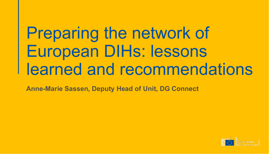# Preparing the network of European DIHs: lessons learned and recommendations

**Anne-Marie Sassen, Deputy Head of Unit, DG Connect**

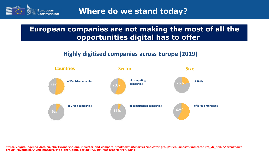

**Where do we stand today?**

### **European companies are not making the most of all the opportunities digital has to offer**

#### **Highly digitised companies across Europe (2019)**



https://digital-agenda-data.eu/charts/analyse-one-indicator-and-compare-breakdowns#chart={"indicator-group":"ebusiness","indicator":"e\_di\_hivhi","breakdown**group":"byentsize","unit-measure":"pc\_ent","time-period":"2019","ref-area":["PT","EU"]}**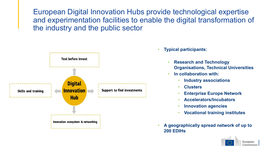European Digital Innovation Hubs provide technological expertise and experimentation facilities to enable the digital transformation of the industry and the public sector



- **Typical participants:**
	- **Research and Technology Organisations, Technical Universities**
	- **In collaboration with:**
		- **Industry associations**
		- **Clusters**
		- **Enterprise Europe Network**
		- **Accelerators/Incubators**
		- **Innovation agencies**
		- **Vocational training institutes**
- **A geographically spread network of up to 200 EDIHs**

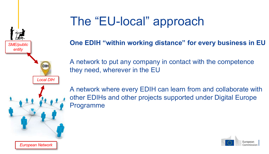

*European Network*

## The "EU-local" approach

**One EDIH "within working distance" for every business in EU**

A network to put any company in contact with the competence they need, wherever in the EU

A network where every EDIH can learn from and collaborate with other EDIHs and other projects supported under Digital Europe Programme